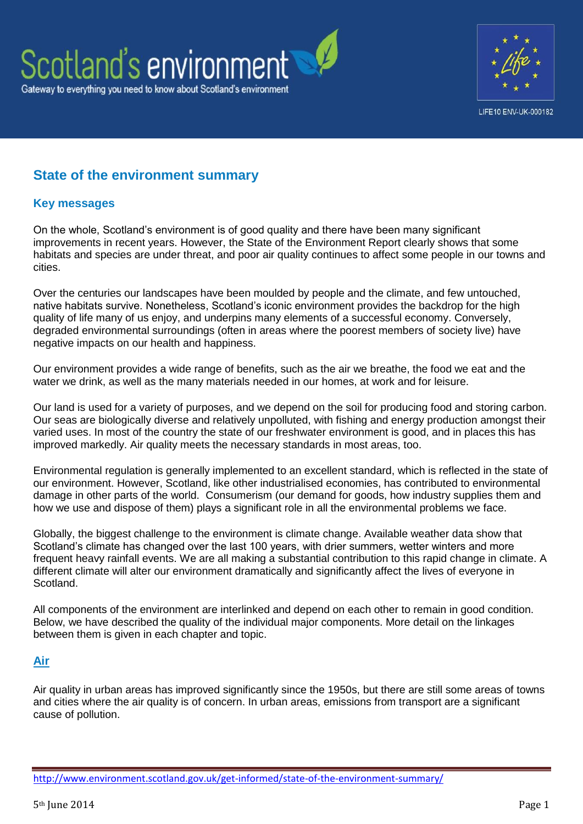



## **State of the environment summary**

## **Key messages**

On the whole, Scotland's environment is of good quality and there have been many significant improvements in recent years. However, the State of the Environment Report clearly shows that some habitats and species are under threat, and poor air quality continues to affect some people in our towns and cities.

Over the centuries our landscapes have been moulded by people and the climate, and few untouched, native habitats survive. Nonetheless, Scotland's iconic environment provides the backdrop for the high quality of life many of us enjoy, and underpins many elements of a successful economy. Conversely, degraded environmental surroundings (often in areas where the poorest members of society live) have negative impacts on our health and happiness.

Our environment provides a wide range of benefits, such as the air we breathe, the food we eat and the water we drink, as well as the many materials needed in our homes, at work and for leisure.

Our land is used for a variety of purposes, and we depend on the soil for producing food and storing carbon. Our seas are biologically diverse and relatively unpolluted, with fishing and energy production amongst their varied uses. In most of the country the state of our freshwater environment is good, and in places this has improved markedly. Air quality meets the necessary standards in most areas, too.

Environmental regulation is generally implemented to an excellent standard, which is reflected in the state of our environment. However, Scotland, like other industrialised economies, has contributed to environmental damage in other parts of the world. Consumerism (our demand for goods, how industry supplies them and how we use and dispose of them) plays a significant role in all the environmental problems we face.

Globally, the biggest challenge to the environment is climate change. Available weather data show that Scotland's climate has changed over the last 100 years, with drier summers, wetter winters and more frequent heavy rainfall events. We are all making a substantial contribution to this rapid change in climate. A different climate will alter our environment dramatically and significantly affect the lives of everyone in Scotland.

All components of the environment are interlinked and depend on each other to remain in good condition. Below, we have described the quality of the individual major components. More detail on the linkages between them is given in each chapter and topic.

## **[Air](http://www.environment.scotland.gov.uk/get-informed/air/)**

Air quality in urban areas has improved significantly since the 1950s, but there are still some areas of towns and cities where the air quality is of concern. In urban areas, emissions from transport are a significant cause of pollution.

<http://www.environment.scotland.gov.uk/get-informed/state-of-the-environment-summary/>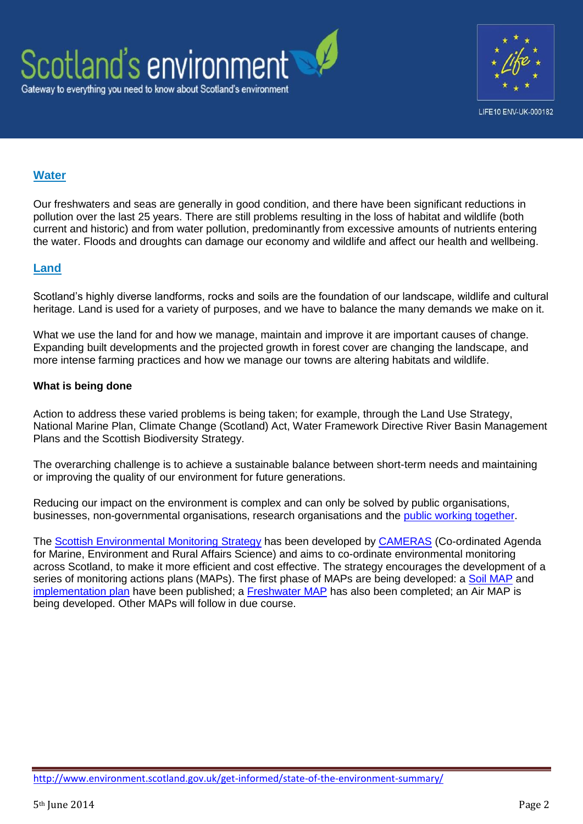



## **[Water](http://www.environment.scotland.gov.uk/get-informed/water/)**

Our freshwaters and seas are generally in good condition, and there have been significant reductions in pollution over the last 25 years. There are still problems resulting in the loss of habitat and wildlife (both current and historic) and from water pollution, predominantly from excessive amounts of nutrients entering the water. Floods and droughts can damage our economy and wildlife and affect our health and wellbeing.

## **[Land](http://www.environment.scotland.gov.uk/get-informed/land/)**

Scotland's highly diverse landforms, rocks and soils are the foundation of our landscape, wildlife and cultural heritage. Land is used for a variety of purposes, and we have to balance the many demands we make on it.

What we use the land for and how we manage, maintain and improve it are important causes of change. Expanding built developments and the projected growth in forest cover are changing the landscape, and more intense farming practices and how we manage our towns are altering habitats and wildlife.

## **What is being done**

Action to address these varied problems is being taken; for example, through the Land Use Strategy, National Marine Plan, Climate Change (Scotland) Act, Water Framework Directive River Basin Management Plans and the Scottish Biodiversity Strategy.

The overarching challenge is to achieve a sustainable balance between short-term needs and maintaining or improving the quality of our environment for future generations.

Reducing our impact on the environment is complex and can only be solved by public organisations, businesses, non-governmental organisations, research organisations and the [public working together.](http://www.environment.scotland.gov.uk/get-involved/)

The [Scottish Environmental](http://www.scotland.gov.uk/Publications/2011/12/05085553/0) Monitoring Strategy has been developed by [CAMERAS](http://www.camerasscotland.org/) (Co-ordinated Agenda for Marine, Environment and Rural Affairs Science) and aims to co-ordinate environmental monitoring across Scotland, to make it more efficient and cost effective. The strategy encourages the development of a series of monitoring actions plans (MAPs). The first phase of MAPs are being developed: a [Soil MAP](http://www.environment.scotland.gov.uk/media/59999/Soil_Monitoring_Action_Plan.PDF) and [implementation plan](http://www.environment.scotland.gov.uk/media/71293/soil-monitoring-action-plan-implementation-march-2013.pdf) have been published; a [Freshwater MAP](http://www.environment.scotland.gov.uk/media/71294/scotlands-freshwater-monitoring-action-plan-april-2014.pdf) has also been completed; an Air MAP is being developed. Other MAPs will follow in due course.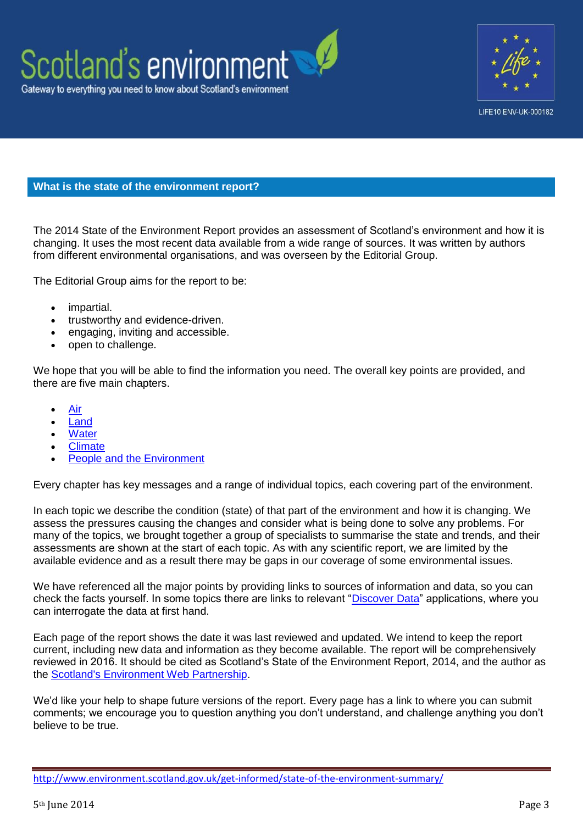



## **What is the state of the environment report?**

The 2014 State of the Environment Report provides an assessment of Scotland's environment and how it is changing. It uses the most recent data available from a wide range of sources. It was written by authors from different environmental organisations, and was overseen by the Editorial Group.

The Editorial Group aims for the report to be:

- impartial.
- trustworthy and evidence-driven.
- engaging, inviting and accessible.
- open to challenge.

We hope that you will be able to find the information you need. The overall key points are provided, and there are five main chapters.

- [Air](http://www.environment.scotland.gov.uk/get-informed/air/)
- [Land](http://www.environment.scotland.gov.uk/get-informed/land/)
- **[Water](http://www.environment.scotland.gov.uk/get-informed/water/)**
- [Climate](http://www.environment.scotland.gov.uk/get-informed/climate/)
- [People and the Environment](http://www.environment.scotland.gov.uk/get-informed/people-and-the-environment/)

Every chapter has key messages and a range of individual topics, each covering part of the environment.

In each topic we describe the condition (state) of that part of the environment and how it is changing. We assess the pressures causing the changes and consider what is being done to solve any problems. For many of the topics, we brought together a group of specialists to summarise the state and trends, and their assessments are shown at the start of each topic. As with any scientific report, we are limited by the available evidence and as a result there may be gaps in our coverage of some environmental issues.

We have referenced all the major points by providing links to sources of information and data, so you can check the facts yourself. In some topics there are links to relevant ["Discover Data"](http://www.environment.scotland.gov.uk/get-interactive/discover-data/) applications, where you can interrogate the data at first hand.

Each page of the report shows the date it was last reviewed and updated. We intend to keep the report current, including new data and information as they become available. The report will be comprehensively reviewed in 2016. It should be cited as Scotland's State of the Environment Report, 2014, and the author as the [Scotland's Environment Web Partnership.](http://www.environment.scotland.gov.uk/about-us/scotlands-environment-partners/)

We'd like your help to shape future versions of the report. Every page has a link to where you can submit comments; we encourage you to question anything you don't understand, and challenge anything you don't believe to be true.

<http://www.environment.scotland.gov.uk/get-informed/state-of-the-environment-summary/>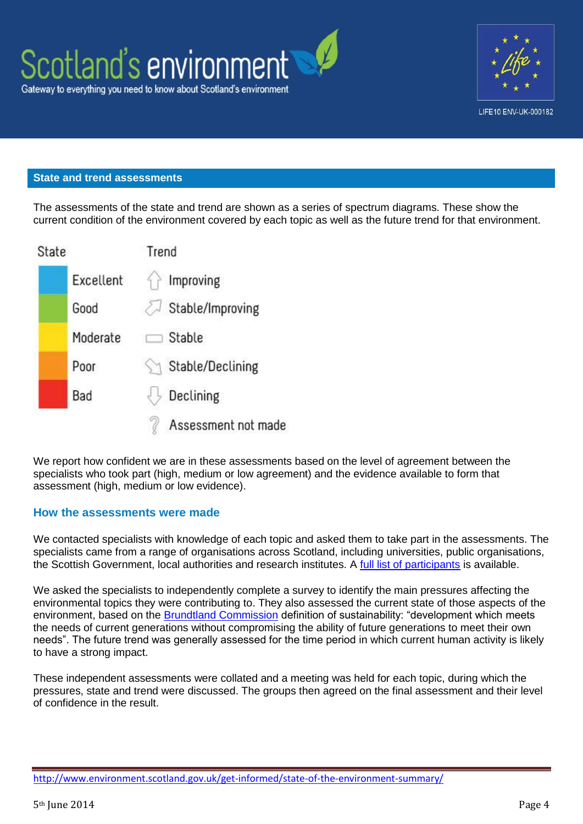



## **State and trend assessments**

The assessments of the state and trend are shown as a series of spectrum diagrams. These show the current condition of the environment covered by each topic as well as the future trend for that environment.

| State |           | Trend |                            |
|-------|-----------|-------|----------------------------|
|       | Excellent |       | Improving                  |
|       | Good      |       | $\gtrsim$ Stable/Improving |
|       | Moderate  |       | Stable                     |
|       | Poor      |       | Stable/Declining           |
|       | Bad       |       | Declining                  |
|       |           |       | Assessment not made        |

We report how confident we are in these assessments based on the level of agreement between the specialists who took part (high, medium or low agreement) and the evidence available to form that assessment (high, medium or low evidence).

### **How the assessments were made**

We contacted specialists with knowledge of each topic and asked them to take part in the assessments. The specialists came from a range of organisations across Scotland, including universities, public organisations, the Scottish Government, local authorities and research institutes. A [full list of participants](http://www.environment.scotland.gov.uk/get-informed/state-of-the-environment-summary/who-wrote-this/) is available.

We asked the specialists to independently complete a survey to identify the main pressures affecting the environmental topics they were contributing to. They also assessed the current state of those aspects of the environment, based on the [Brundtland Commission](http://www.un-documents.net/ocf-02.htm) definition of sustainability: "development which meets the needs of current generations without compromising the ability of future generations to meet their own needs". The future trend was generally assessed for the time period in which current human activity is likely to have a strong impact.

These independent assessments were collated and a meeting was held for each topic, during which the pressures, state and trend were discussed. The groups then agreed on the final assessment and their level of confidence in the result.

<http://www.environment.scotland.gov.uk/get-informed/state-of-the-environment-summary/>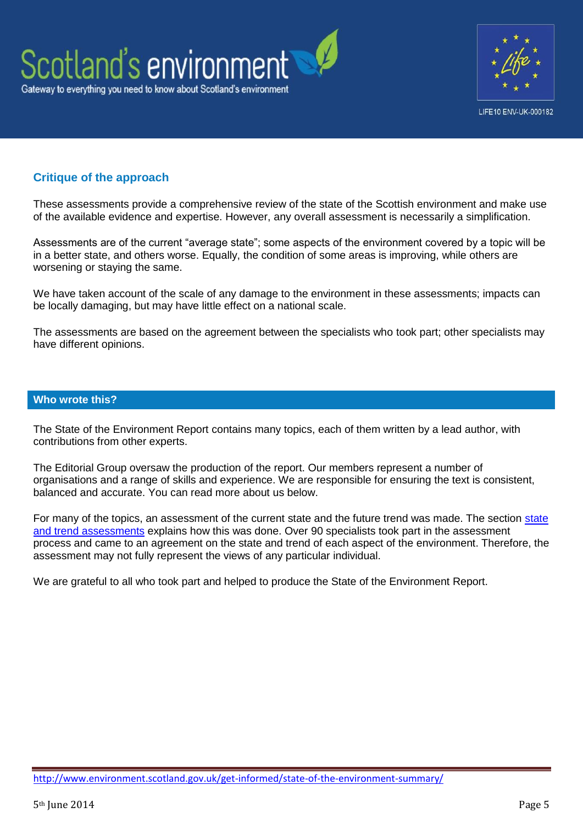



## **Critique of the approach**

These assessments provide a comprehensive review of the state of the Scottish environment and make use of the available evidence and expertise. However, any overall assessment is necessarily a simplification.

Assessments are of the current "average state"; some aspects of the environment covered by a topic will be in a better state, and others worse. Equally, the condition of some areas is improving, while others are worsening or staying the same.

We have taken account of the scale of any damage to the environment in these assessments; impacts can be locally damaging, but may have little effect on a national scale.

The assessments are based on the agreement between the specialists who took part; other specialists may have different opinions.

### **Who wrote this?**

The State of the Environment Report contains many topics, each of them written by a lead author, with contributions from other experts.

The Editorial Group oversaw the production of the report. Our members represent a number of organisations and a range of skills and experience. We are responsible for ensuring the text is consistent, balanced and accurate. You can read more about us below.

For many of the topics, an assessment of the current state and the future trend was made. The section [state](http://www.environment.scotland.gov.uk/get-informed/state-of-the-environment-summary/state-and-trend-assessments/)  [and trend assessments](http://www.environment.scotland.gov.uk/get-informed/state-of-the-environment-summary/state-and-trend-assessments/) explains how this was done. Over 90 specialists took part in the assessment process and came to an agreement on the state and trend of each aspect of the environment. Therefore, the assessment may not fully represent the views of any particular individual.

We are grateful to all who took part and helped to produce the State of the Environment Report.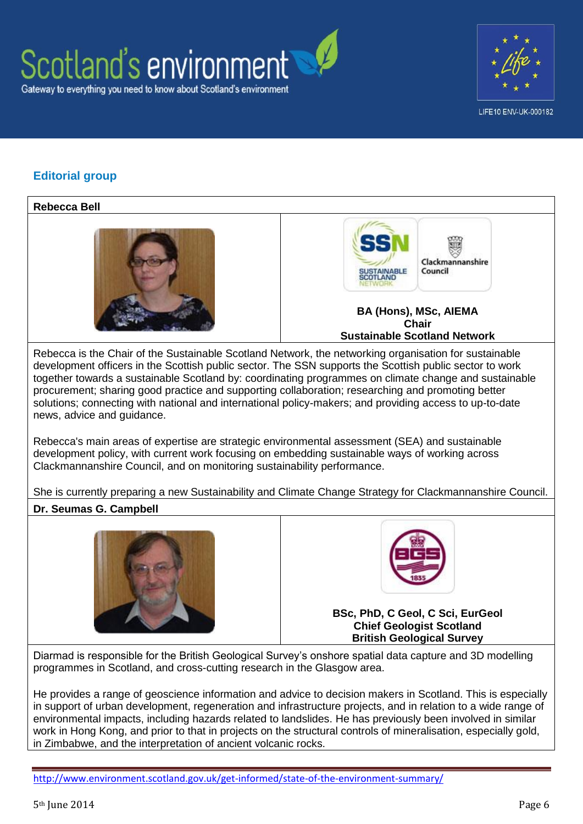



## **Editorial group**

## **Rebecca Bell** Clackmannanshire Council **BA (Hons), MSc, AIEMA Chair Sustainable Scotland Network**

Rebecca is the Chair of the Sustainable Scotland Network, the networking organisation for sustainable development officers in the Scottish public sector. The SSN supports the Scottish public sector to work together towards a sustainable Scotland by: coordinating programmes on climate change and sustainable procurement; sharing good practice and supporting collaboration; researching and promoting better solutions; connecting with national and international policy-makers; and providing access to up-to-date news, advice and guidance.

Rebecca's main areas of expertise are strategic environmental assessment (SEA) and sustainable development policy, with current work focusing on embedding sustainable ways of working across Clackmannanshire Council, and on monitoring sustainability performance.

She is currently preparing a new Sustainability and Climate Change Strategy for Clackmannanshire Council.

## **Dr. Seumas G. Campbell**





**BSc, PhD, C Geol, C Sci, EurGeol Chief Geologist Scotland British Geological Survey**

Diarmad is responsible for the British Geological Survey's onshore spatial data capture and 3D modelling programmes in Scotland, and cross-cutting research in the Glasgow area.

He provides a range of geoscience information and advice to decision makers in Scotland. This is especially in support of urban development, regeneration and infrastructure projects, and in relation to a wide range of environmental impacts, including hazards related to landslides. He has previously been involved in similar work in Hong Kong, and prior to that in projects on the structural controls of mineralisation, especially gold, in Zimbabwe, and the interpretation of ancient volcanic rocks.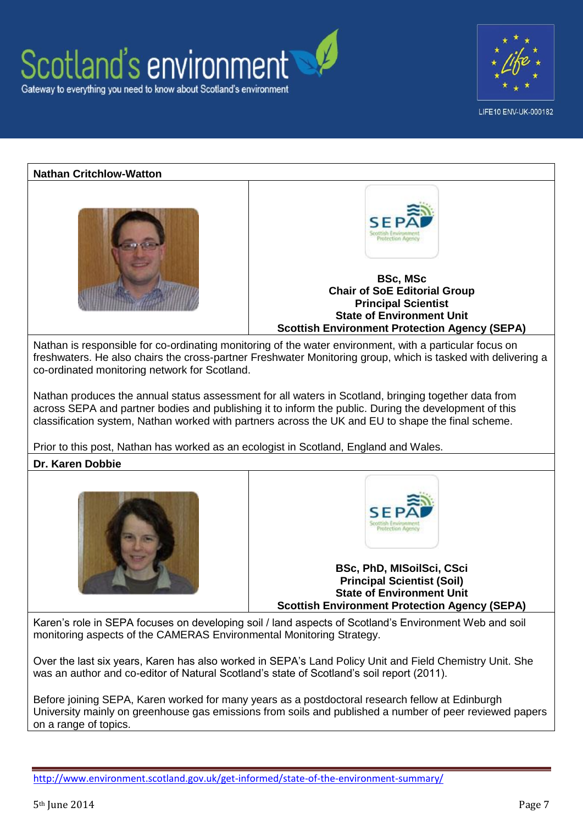





Before joining SEPA, Karen worked for many years as a postdoctoral research fellow at Edinburgh University mainly on greenhouse gas emissions from soils and published a number of peer reviewed papers on a range of topics.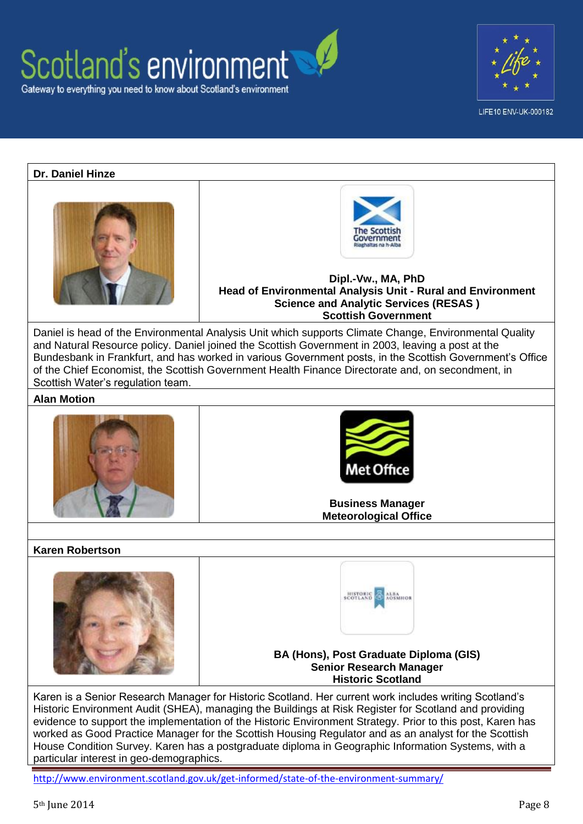



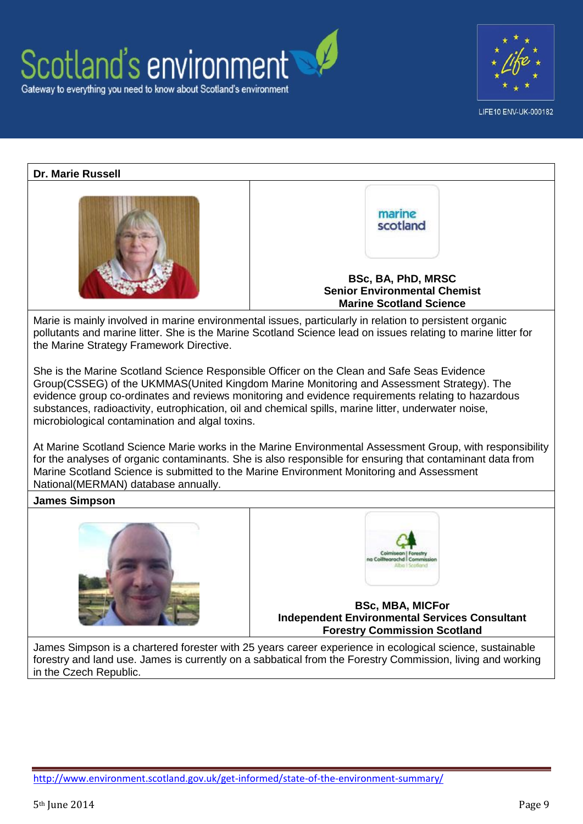





James Simpson is a chartered forester with 25 years career experience in ecological science, sustainable forestry and land use. James is currently on a sabbatical from the Forestry Commission, living and working in the Czech Republic.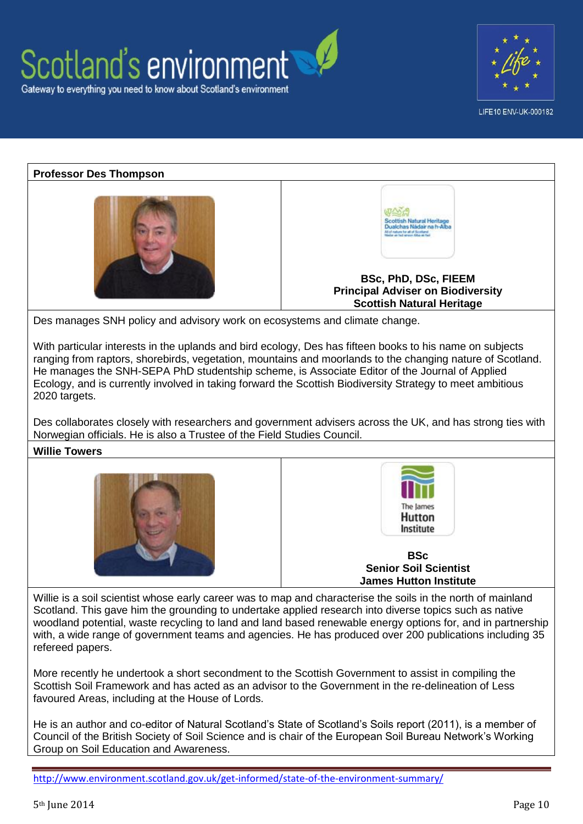





He is an author and co-editor of Natural Scotland's State of Scotland's Soils report (2011), is a member of Council of the British Society of Soil Science and is chair of the European Soil Bureau Network's Working Group on Soil Education and Awareness.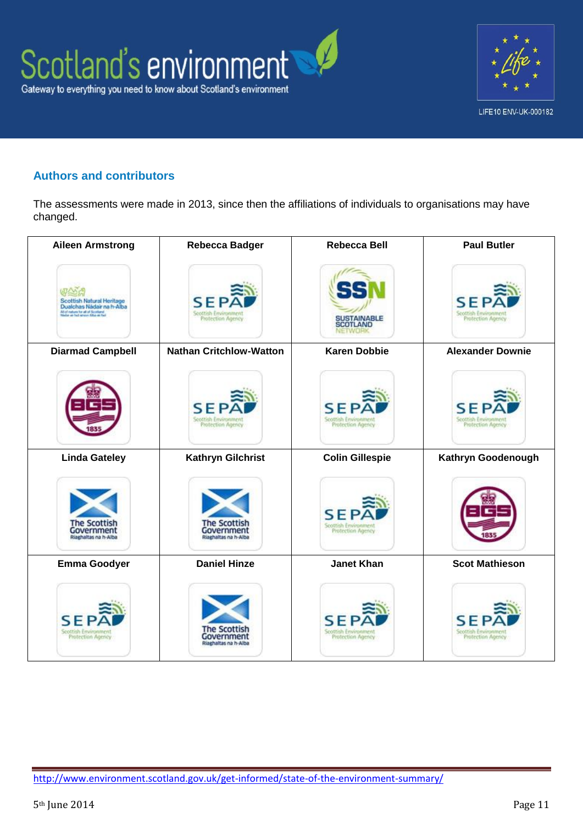

# LIFE10 ENV-UK-000182

## **Authors and contributors**

The assessments were made in 2013, since then the affiliations of individuals to organisations may have changed.

| <b>Aileen Armstrong</b>                                                                                                               | <b>Rebecca Badger</b>                                     | <b>Rebecca Bell</b>                                     | <b>Paul Butler</b>                                      |
|---------------------------------------------------------------------------------------------------------------------------------------|-----------------------------------------------------------|---------------------------------------------------------|---------------------------------------------------------|
| Scottish Natural Heritage<br>Dualchas Nádair na h-Alba<br>All of nature for all of Scotland<br>Historian in fed areon, fiftee as feel | <b>SEP</b><br>Scottish Environment<br>Protection Agency   | SUSTAINABLE<br>SCOTLAND<br>NETWORK                      | <b>SEP</b><br>Scottish Environment<br>Protection Agency |
| <b>Diarmad Campbell</b>                                                                                                               | <b>Nathan Critchlow-Watton</b>                            | <b>Karen Dobbie</b>                                     | <b>Alexander Downie</b>                                 |
|                                                                                                                                       | SEP<br>Scottish Environment<br>Protection Agency          | <b>SEP</b><br>Scottish Environment<br>Protection Agency | <b>SEI</b><br>Scottish Environment<br>Protection Agency |
| <b>Linda Gateley</b>                                                                                                                  | <b>Kathryn Gilchrist</b>                                  | <b>Colin Gillespie</b>                                  | Kathryn Goodenough                                      |
| <b>The Scottish</b><br>Government<br>Riaghaltas na h-Alba                                                                             | <b>The Scottish</b><br>Government<br>Riaghaltas na h-Alba | <b>SE</b><br>Scottish Environment<br>Protection Agency  |                                                         |
| <b>Emma Goodyer</b>                                                                                                                   | <b>Daniel Hinze</b>                                       | <b>Janet Khan</b>                                       | <b>Scot Mathieson</b>                                   |
| SF<br>Scottish Environment<br>Protection Agency                                                                                       | The Scottis<br>Government<br>Riaghaltas na h-Alba         | ς<br>Scottish Environment<br>Protection Agency          | S.<br>Scottish Environment<br>Protection Agency         |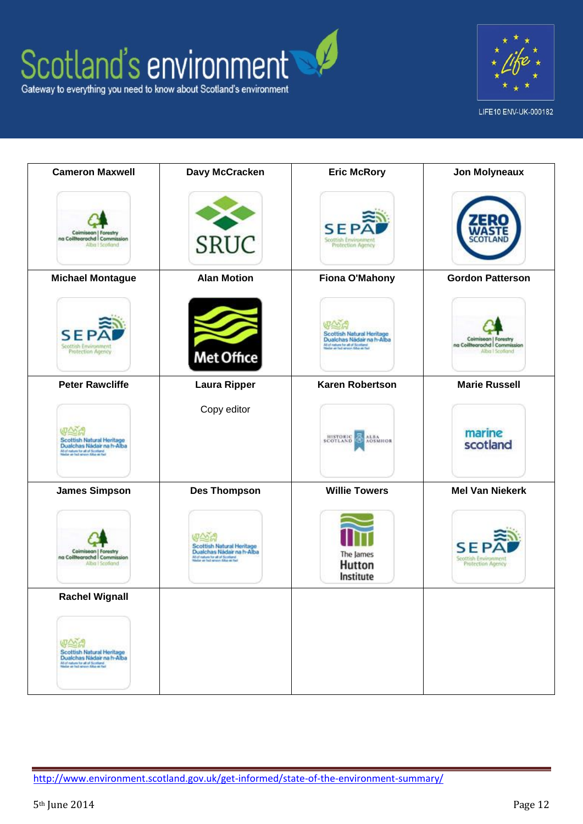



| <b>Cameron Maxwell</b>                                                                                                                   | Davy McCracken                                                                                                                       | <b>Eric McRory</b>                                                                                                               | <b>Jon Molyneaux</b>                                                    |
|------------------------------------------------------------------------------------------------------------------------------------------|--------------------------------------------------------------------------------------------------------------------------------------|----------------------------------------------------------------------------------------------------------------------------------|-------------------------------------------------------------------------|
| Coimisean   Forestry<br>na Coiltearachd   Commission<br>Alba I Scotland                                                                  | <b>SRUC</b>                                                                                                                          | SEP<br>Scottish Environment<br>Protection Agency                                                                                 |                                                                         |
| <b>Michael Montague</b>                                                                                                                  | <b>Alan Motion</b>                                                                                                                   | <b>Fiona O'Mahony</b>                                                                                                            | <b>Gordon Patterson</b>                                                 |
| SEPA<br>Scottish Environment<br>Protection Agency                                                                                        | <b>Met Office</b>                                                                                                                    | Scottish Natural Heritage<br>Dualchas Nádair na h-Alba<br>All of nature for all of Scotland<br>History as fed areon Alba as fair | Coimisean   Forestry<br>na Coiltearachd   Commission<br>Alba I Scotland |
| <b>Peter Rawcliffe</b>                                                                                                                   | <b>Laura Ripper</b>                                                                                                                  | <b>Karen Robertson</b>                                                                                                           | <b>Marie Russell</b>                                                    |
| Scottish Natural Heritage<br>Dualchas Nádair na h-Alba<br>All of nature for all of Scotland<br>Historica as fed across Alba as feat      | Copy editor                                                                                                                          | <b>HISTORIC ALBA</b><br>SCOTLAND CE AOSMHOR                                                                                      | marine<br>scotland                                                      |
| <b>James Simpson</b>                                                                                                                     | <b>Des Thompson</b>                                                                                                                  | <b>Willie Towers</b>                                                                                                             | <b>Mel Van Niekerk</b>                                                  |
| Coimisean   Forestry<br>na Coiltearachd   Commission<br>Alba I Scotland                                                                  | Scottish Natural Heritage<br>Dualchas Nádair na h-Alba<br>All of nature for all of Scotland<br>Historian in fed areon, fiftee as fed | The James<br>Hutton<br>Institute                                                                                                 | SЕ<br>Scottish Environment<br>Protection Agency                         |
| <b>Rachel Wignall</b>                                                                                                                    |                                                                                                                                      |                                                                                                                                  |                                                                         |
| 电公司<br>Scottish Natural Heritage<br>Dualchas Nádair na h-Alba<br>All of nature for all of Scotland<br>Haidar as hed areons false as hell |                                                                                                                                      |                                                                                                                                  |                                                                         |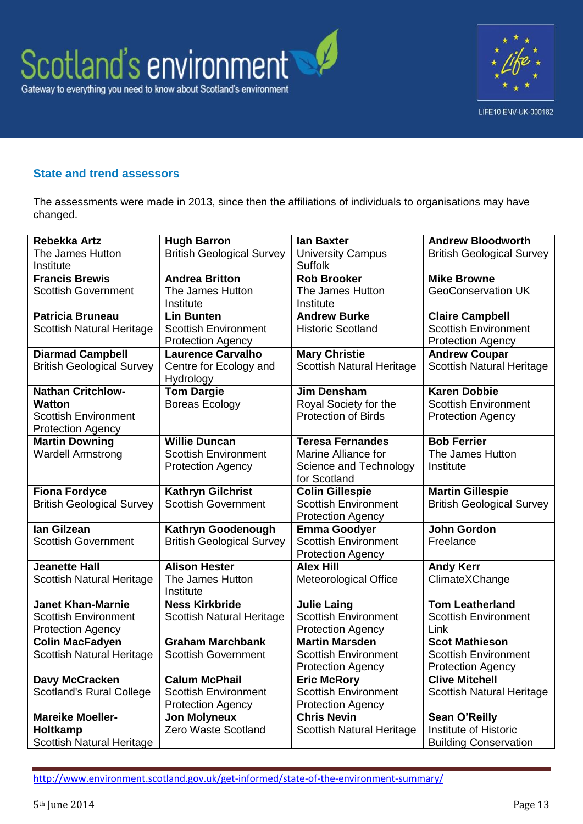



## **State and trend assessors**

The assessments were made in 2013, since then the affiliations of individuals to organisations may have changed.

| Rebekka Artz                                            | <b>Hugh Barron</b>                  | lan Baxter                                              | <b>Andrew Bloodworth</b>                                |  |
|---------------------------------------------------------|-------------------------------------|---------------------------------------------------------|---------------------------------------------------------|--|
| The James Hutton<br>Institute                           | <b>British Geological Survey</b>    | <b>University Campus</b><br><b>Suffolk</b>              | <b>British Geological Survey</b>                        |  |
| <b>Francis Brewis</b>                                   | <b>Andrea Britton</b>               | <b>Rob Brooker</b>                                      | <b>Mike Browne</b>                                      |  |
| <b>Scottish Government</b>                              | The James Hutton                    | The James Hutton                                        | <b>GeoConservation UK</b>                               |  |
|                                                         | Institute                           | Institute                                               |                                                         |  |
| <b>Patricia Bruneau</b>                                 | <b>Lin Bunten</b>                   | <b>Andrew Burke</b>                                     | <b>Claire Campbell</b>                                  |  |
| <b>Scottish Natural Heritage</b>                        | <b>Scottish Environment</b>         | <b>Historic Scotland</b>                                | <b>Scottish Environment</b>                             |  |
|                                                         | <b>Protection Agency</b>            |                                                         | <b>Protection Agency</b>                                |  |
| <b>Diarmad Campbell</b>                                 | <b>Laurence Carvalho</b>            | <b>Mary Christie</b>                                    | <b>Andrew Coupar</b>                                    |  |
| <b>British Geological Survey</b>                        | Centre for Ecology and<br>Hydrology | <b>Scottish Natural Heritage</b>                        | <b>Scottish Natural Heritage</b>                        |  |
| <b>Nathan Critchlow-</b>                                | <b>Tom Dargie</b>                   | <b>Jim Densham</b>                                      | <b>Karen Dobbie</b>                                     |  |
| <b>Watton</b>                                           | Boreas Ecology                      | Royal Society for the                                   | <b>Scottish Environment</b>                             |  |
| <b>Scottish Environment</b><br><b>Protection Agency</b> |                                     | <b>Protection of Birds</b>                              | <b>Protection Agency</b>                                |  |
| <b>Martin Downing</b>                                   | <b>Willie Duncan</b>                | <b>Teresa Fernandes</b>                                 | <b>Bob Ferrier</b>                                      |  |
| <b>Wardell Armstrong</b>                                | <b>Scottish Environment</b>         | Marine Alliance for                                     | The James Hutton                                        |  |
|                                                         | <b>Protection Agency</b>            | Science and Technology                                  | Institute                                               |  |
|                                                         |                                     | for Scotland                                            |                                                         |  |
| <b>Fiona Fordyce</b>                                    | <b>Kathryn Gilchrist</b>            | <b>Colin Gillespie</b>                                  | <b>Martin Gillespie</b>                                 |  |
| <b>British Geological Survey</b>                        | <b>Scottish Government</b>          | <b>Scottish Environment</b>                             | <b>British Geological Survey</b>                        |  |
|                                                         |                                     | <b>Protection Agency</b>                                |                                                         |  |
| lan Gilzean                                             | Kathryn Goodenough                  | <b>Emma Goodyer</b>                                     | <b>John Gordon</b>                                      |  |
| <b>Scottish Government</b>                              | <b>British Geological Survey</b>    | <b>Scottish Environment</b>                             | Freelance                                               |  |
|                                                         |                                     | <b>Protection Agency</b>                                |                                                         |  |
| <b>Jeanette Hall</b>                                    | <b>Alison Hester</b>                | <b>Alex Hill</b>                                        | <b>Andy Kerr</b>                                        |  |
| <b>Scottish Natural Heritage</b>                        | The James Hutton                    | <b>Meteorological Office</b>                            | ClimateXChange                                          |  |
|                                                         | Institute                           |                                                         |                                                         |  |
| <b>Janet Khan-Marnie</b>                                | <b>Ness Kirkbride</b>               | <b>Julie Laing</b>                                      | <b>Tom Leatherland</b>                                  |  |
| <b>Scottish Environment</b>                             | <b>Scottish Natural Heritage</b>    | <b>Scottish Environment</b>                             | <b>Scottish Environment</b>                             |  |
| <b>Protection Agency</b>                                | <b>Graham Marchbank</b>             | <b>Protection Agency</b><br><b>Martin Marsden</b>       | Link                                                    |  |
| <b>Colin MacFadyen</b>                                  |                                     |                                                         | <b>Scot Mathieson</b>                                   |  |
| <b>Scottish Natural Heritage</b>                        | <b>Scottish Government</b>          | <b>Scottish Environment</b><br><b>Protection Agency</b> | <b>Scottish Environment</b><br><b>Protection Agency</b> |  |
| Davy McCracken                                          | <b>Calum McPhail</b>                | <b>Eric McRory</b>                                      | <b>Clive Mitchell</b>                                   |  |
| <b>Scotland's Rural College</b>                         | <b>Scottish Environment</b>         | <b>Scottish Environment</b>                             | <b>Scottish Natural Heritage</b>                        |  |
|                                                         | <b>Protection Agency</b>            | <b>Protection Agency</b>                                |                                                         |  |
| <b>Mareike Moeller-</b>                                 | <b>Jon Molyneux</b>                 | <b>Chris Nevin</b>                                      | <b>Sean O'Reilly</b>                                    |  |
| Holtkamp                                                | Zero Waste Scotland                 | <b>Scottish Natural Heritage</b>                        | Institute of Historic                                   |  |
| <b>Scottish Natural Heritage</b>                        |                                     |                                                         | <b>Building Conservation</b>                            |  |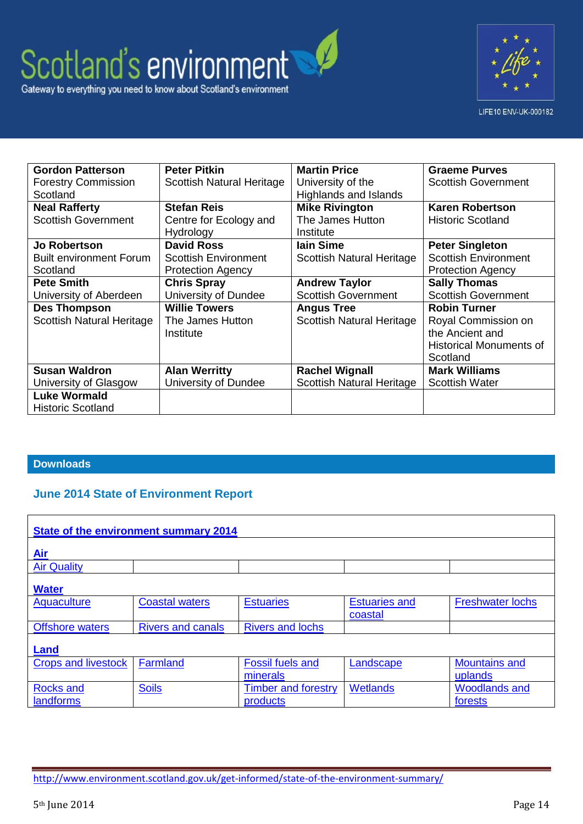# Scotland's environment Gateway to everything you need to know about Scotland's environment



| <b>Gordon Patterson</b>          | <b>Peter Pitkin</b>         | <b>Martin Price</b>              | <b>Graeme Purves</b>           |
|----------------------------------|-----------------------------|----------------------------------|--------------------------------|
| <b>Forestry Commission</b>       | Scottish Natural Heritage   | University of the                | <b>Scottish Government</b>     |
| Scotland                         |                             | <b>Highlands and Islands</b>     |                                |
| <b>Neal Rafferty</b>             | <b>Stefan Reis</b>          | <b>Mike Rivington</b>            | <b>Karen Robertson</b>         |
| <b>Scottish Government</b>       | Centre for Ecology and      | The James Hutton                 | <b>Historic Scotland</b>       |
|                                  | Hydrology                   | Institute                        |                                |
| <b>Jo Robertson</b>              | <b>David Ross</b>           | lain Sime                        | <b>Peter Singleton</b>         |
| <b>Built environment Forum</b>   | <b>Scottish Environment</b> | <b>Scottish Natural Heritage</b> | <b>Scottish Environment</b>    |
| Scotland                         | <b>Protection Agency</b>    |                                  | <b>Protection Agency</b>       |
| <b>Pete Smith</b>                | <b>Chris Spray</b>          | <b>Andrew Taylor</b>             | <b>Sally Thomas</b>            |
| University of Aberdeen           | University of Dundee        | <b>Scottish Government</b>       | <b>Scottish Government</b>     |
| <b>Des Thompson</b>              | <b>Willie Towers</b>        | <b>Angus Tree</b>                | <b>Robin Turner</b>            |
| <b>Scottish Natural Heritage</b> | The James Hutton            | <b>Scottish Natural Heritage</b> | Royal Commission on            |
|                                  | Institute                   |                                  | the Ancient and                |
|                                  |                             |                                  | <b>Historical Monuments of</b> |
|                                  |                             |                                  | Scotland                       |
| <b>Susan Waldron</b>             | <b>Alan Werritty</b>        | <b>Rachel Wignall</b>            | <b>Mark Williams</b>           |
| University of Glasgow            | University of Dundee        | <b>Scottish Natural Heritage</b> | <b>Scottish Water</b>          |
| <b>Luke Wormald</b>              |                             |                                  |                                |
| <b>Historic Scotland</b>         |                             |                                  |                                |

## **Downloads**

## **June 2014 State of Environment Report**

| State of the environment summary 2014 |                          |                                        |                                 |                                 |  |  |  |
|---------------------------------------|--------------------------|----------------------------------------|---------------------------------|---------------------------------|--|--|--|
| Air                                   |                          |                                        |                                 |                                 |  |  |  |
| <b>Air Quality</b>                    |                          |                                        |                                 |                                 |  |  |  |
| <b>Water</b>                          |                          |                                        |                                 |                                 |  |  |  |
| Aquaculture                           | <b>Coastal waters</b>    | <b>Estuaries</b>                       | <b>Estuaries and</b><br>coastal | <b>Freshwater lochs</b>         |  |  |  |
| <b>Offshore waters</b>                | <b>Rivers and canals</b> | <b>Rivers and lochs</b>                |                                 |                                 |  |  |  |
| <b>Land</b>                           |                          |                                        |                                 |                                 |  |  |  |
| <b>Crops and livestock</b>            | Farmland                 | <b>Fossil fuels and</b><br>minerals    | Landscape                       | <b>Mountains and</b><br>uplands |  |  |  |
| <b>Rocks and</b><br>landforms         | <b>Soils</b>             | <b>Timber and forestry</b><br>products | <b>Wetlands</b>                 | <b>Woodlands and</b><br>forests |  |  |  |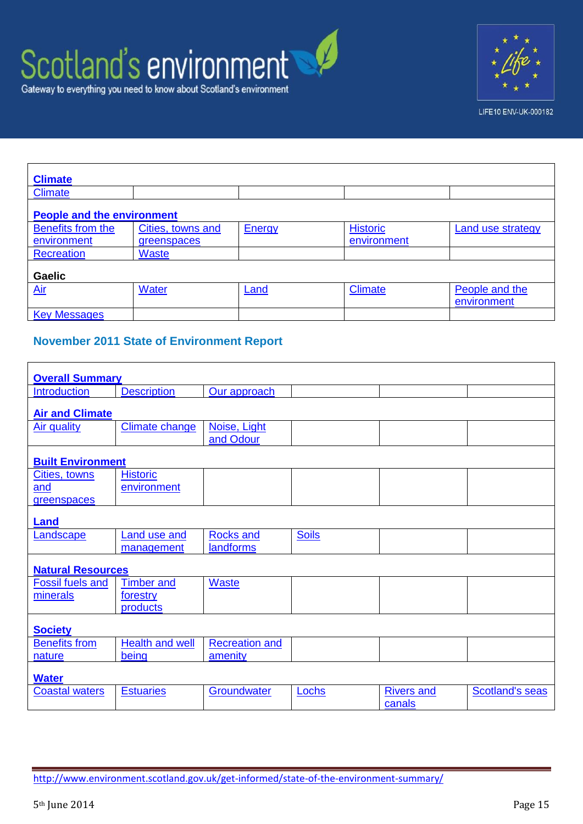# Scotland's environment Gateway to everything you need to know about Scotland's environment



LIFE10 ENV-UK-000182

| <b>Climate</b>                    |                   |               |                 |                               |  |  |
|-----------------------------------|-------------------|---------------|-----------------|-------------------------------|--|--|
| <b>Climate</b>                    |                   |               |                 |                               |  |  |
| <b>People and the environment</b> |                   |               |                 |                               |  |  |
| Benefits from the                 | Cities, towns and | <b>Energy</b> | <b>Historic</b> | Land use strategy             |  |  |
| environment                       | greenspaces       |               | environment     |                               |  |  |
| <b>Recreation</b>                 | <b>Waste</b>      |               |                 |                               |  |  |
| <b>Gaelic</b>                     |                   |               |                 |                               |  |  |
| <b>Air</b>                        | <b>Water</b>      | Land          | Climate         | People and the<br>environment |  |  |
| <b>Key Messages</b>               |                   |               |                 |                               |  |  |

## **November 2011 State of Environment Report**

| <b>Overall Summary</b>   |                        |                       |              |                   |                        |  |  |  |
|--------------------------|------------------------|-----------------------|--------------|-------------------|------------------------|--|--|--|
| Introduction             | <b>Description</b>     | Our approach          |              |                   |                        |  |  |  |
|                          |                        |                       |              |                   |                        |  |  |  |
| <b>Air and Climate</b>   |                        |                       |              |                   |                        |  |  |  |
| <b>Air quality</b>       | <b>Climate change</b>  | Noise, Light          |              |                   |                        |  |  |  |
|                          |                        | and Odour             |              |                   |                        |  |  |  |
|                          |                        |                       |              |                   |                        |  |  |  |
| <b>Built Environment</b> |                        |                       |              |                   |                        |  |  |  |
| Cities, towns            | <b>Historic</b>        |                       |              |                   |                        |  |  |  |
| and                      | environment            |                       |              |                   |                        |  |  |  |
| greenspaces              |                        |                       |              |                   |                        |  |  |  |
|                          |                        |                       |              |                   |                        |  |  |  |
| <b>Land</b>              |                        |                       |              |                   |                        |  |  |  |
| Landscape                | <b>Land use and</b>    | <b>Rocks and</b>      | <b>Soils</b> |                   |                        |  |  |  |
|                          | management             | <b>landforms</b>      |              |                   |                        |  |  |  |
| <b>Natural Resources</b> |                        |                       |              |                   |                        |  |  |  |
| <b>Fossil fuels and</b>  | <b>Timber and</b>      | Waste                 |              |                   |                        |  |  |  |
| minerals                 | forestry               |                       |              |                   |                        |  |  |  |
|                          | products               |                       |              |                   |                        |  |  |  |
|                          |                        |                       |              |                   |                        |  |  |  |
| <b>Society</b>           |                        |                       |              |                   |                        |  |  |  |
| <b>Benefits from</b>     | <b>Health and well</b> | <b>Recreation and</b> |              |                   |                        |  |  |  |
| nature                   | being                  | amenity               |              |                   |                        |  |  |  |
| <b>Water</b>             |                        |                       |              |                   |                        |  |  |  |
| <b>Coastal waters</b>    | <b>Estuaries</b>       | Groundwater           | Lochs        | <b>Rivers and</b> | <b>Scotland's seas</b> |  |  |  |
|                          |                        |                       |              | canals            |                        |  |  |  |

Г

<http://www.environment.scotland.gov.uk/get-informed/state-of-the-environment-summary/>